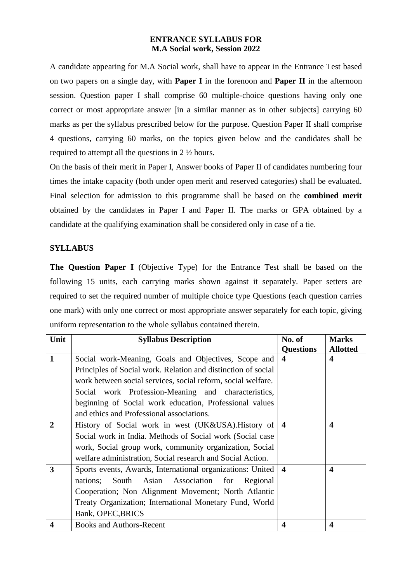## **ENTRANCE SYLLABUS FOR M.A Social work, Session 2022**

A candidate appearing for M.A Social work, shall have to appear in the Entrance Test based on two papers on a single day, with **Paper I** in the forenoon and **Paper II** in the afternoon session. Question paper I shall comprise 60 multiple-choice questions having only one correct or most appropriate answer [in a similar manner as in other subjects] carrying 60 marks as per the syllabus prescribed below for the purpose. Question Paper II shall comprise 4 questions, carrying 60 marks, on the topics given below and the candidates shall be required to attempt all the questions in 2 ½ hours.

On the basis of their merit in Paper I, Answer books of Paper II of candidates numbering four times the intake capacity (both under open merit and reserved categories) shall be evaluated. Final selection for admission to this programme shall be based on the **combined merit** obtained by the candidates in Paper I and Paper II. The marks or GPA obtained by a candidate at the qualifying examination shall be considered only in case of a tie.

## **SYLLABUS**

**The Question Paper I** (Objective Type) for the Entrance Test shall be based on the following 15 units, each carrying marks shown against it separately. Paper setters are required to set the required number of multiple choice type Questions (each question carries one mark) with only one correct or most appropriate answer separately for each topic, giving uniform representation to the whole syllabus contained therein.

| Unit                    | <b>Syllabus Description</b>                                   | No. of                  | <b>Marks</b>            |
|-------------------------|---------------------------------------------------------------|-------------------------|-------------------------|
|                         |                                                               | <b>Questions</b>        | <b>Allotted</b>         |
| $\mathbf{1}$            | Social work-Meaning, Goals and Objectives, Scope and          | $\boldsymbol{4}$        | $\overline{\mathbf{4}}$ |
|                         | Principles of Social work. Relation and distinction of social |                         |                         |
|                         | work between social services, social reform, social welfare.  |                         |                         |
|                         | Social work Profession-Meaning and characteristics,           |                         |                         |
|                         | beginning of Social work education, Professional values       |                         |                         |
|                         | and ethics and Professional associations.                     |                         |                         |
| $\mathbf{2}$            | History of Social work in west (UK&USA). History of           | $\overline{\mathbf{4}}$ | $\overline{\mathbf{4}}$ |
|                         | Social work in India. Methods of Social work (Social case     |                         |                         |
|                         | work, Social group work, community organization, Social       |                         |                         |
|                         | welfare administration, Social research and Social Action.    |                         |                         |
| 3                       | Sports events, Awards, International organizations: United    | $\overline{\mathbf{4}}$ | $\boldsymbol{\Lambda}$  |
|                         | South Asian Association for<br>nations;<br>Regional           |                         |                         |
|                         | Cooperation; Non Alignment Movement; North Atlantic           |                         |                         |
|                         | Treaty Organization; International Monetary Fund, World       |                         |                         |
|                         | Bank, OPEC, BRICS                                             |                         |                         |
| $\overline{\mathbf{4}}$ | <b>Books and Authors-Recent</b>                               | $\overline{\mathbf{4}}$ | $\overline{\mathbf{4}}$ |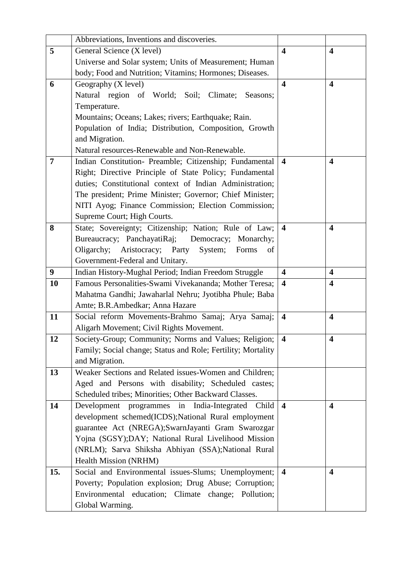|                | Abbreviations, Inventions and discoveries.                   |                         |                         |
|----------------|--------------------------------------------------------------|-------------------------|-------------------------|
| 5              | General Science (X level)                                    | $\overline{\mathbf{4}}$ | $\overline{\mathbf{4}}$ |
|                | Universe and Solar system; Units of Measurement; Human       |                         |                         |
|                | body; Food and Nutrition; Vitamins; Hormones; Diseases.      |                         |                         |
| 6              | Geography (X level)                                          | $\overline{\mathbf{4}}$ | $\boldsymbol{4}$        |
|                | Natural region of World; Soil; Climate;<br>Seasons;          |                         |                         |
|                | Temperature.                                                 |                         |                         |
|                | Mountains; Oceans; Lakes; rivers; Earthquake; Rain.          |                         |                         |
|                | Population of India; Distribution, Composition, Growth       |                         |                         |
|                | and Migration.                                               |                         |                         |
|                | Natural resources-Renewable and Non-Renewable.               |                         |                         |
| $\overline{7}$ | Indian Constitution- Preamble; Citizenship; Fundamental      | $\overline{\mathbf{4}}$ | $\overline{\mathbf{4}}$ |
|                | Right; Directive Principle of State Policy; Fundamental      |                         |                         |
|                | duties; Constitutional context of Indian Administration;     |                         |                         |
|                | The president; Prime Minister; Governor; Chief Minister;     |                         |                         |
|                | NITI Ayog; Finance Commission; Election Commission;          |                         |                         |
|                | Supreme Court; High Courts.                                  |                         |                         |
| 8              | State; Sovereignty; Citizenship; Nation; Rule of Law;        | $\overline{\mathbf{4}}$ | $\overline{\mathbf{4}}$ |
|                | Bureaucracy; PanchayatiRaj; Democracy; Monarchy;             |                         |                         |
|                | Oligarchy;<br>Aristocracy; Party<br>System;<br>Forms<br>of   |                         |                         |
|                | Government-Federal and Unitary.                              |                         |                         |
| 9              | Indian History-Mughal Period; Indian Freedom Struggle        | $\overline{\mathbf{4}}$ | $\overline{\mathbf{4}}$ |
| 10             | Famous Personalities-Swami Vivekananda; Mother Teresa;       | $\overline{\mathbf{4}}$ | $\overline{\mathbf{4}}$ |
|                | Mahatma Gandhi; Jawaharlal Nehru; Jyotibha Phule; Baba       |                         |                         |
|                | Amte; B.R.Ambedkar; Anna Hazare                              |                         |                         |
| 11             | Social reform Movements-Brahmo Samaj; Arya Samaj;            | $\overline{\mathbf{4}}$ | $\overline{\mathbf{4}}$ |
|                | Aligarh Movement; Civil Rights Movement.                     |                         |                         |
| 12             | Society-Group; Community; Norms and Values; Religion;        | $\overline{\mathbf{4}}$ | $\overline{\mathbf{4}}$ |
|                | Family; Social change; Status and Role; Fertility; Mortality |                         |                         |
|                | and Migration.                                               |                         |                         |
| 13             | Weaker Sections and Related issues-Women and Children;       |                         |                         |
|                | Aged and Persons with disability; Scheduled castes;          |                         |                         |
|                | Scheduled tribes; Minorities; Other Backward Classes.        |                         |                         |
| 14             | Development programmes in India-Integrated Child             | $\overline{\mathbf{4}}$ | $\overline{\mathbf{4}}$ |
|                | development schemed(ICDS);National Rural employment          |                         |                         |
|                | guarantee Act (NREGA);SwarnJayanti Gram Swarozgar            |                         |                         |
|                | Yojna (SGSY);DAY; National Rural Livelihood Mission          |                         |                         |
|                | (NRLM); Sarva Shiksha Abhiyan (SSA);National Rural           |                         |                         |
|                | Health Mission (NRHM)                                        |                         |                         |
| 15.            | Social and Environmental issues-Slums; Unemployment;         | $\overline{\mathbf{4}}$ | 4                       |
|                | Poverty; Population explosion; Drug Abuse; Corruption;       |                         |                         |
|                | Environmental education; Climate change; Pollution;          |                         |                         |
|                | Global Warming.                                              |                         |                         |